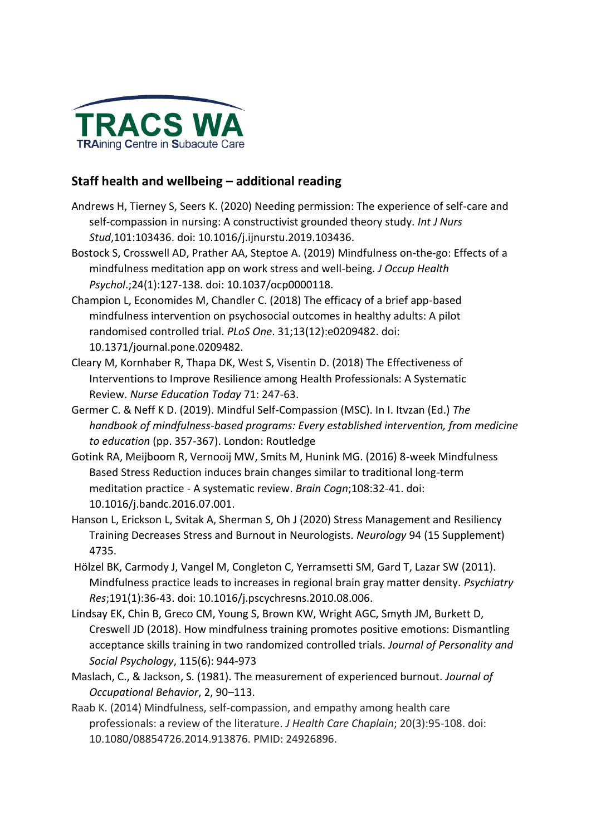

# **Staff health and wellbeing – additional reading**

- Andrews H, Tierney S, Seers K. (2020) Needing permission: The experience of self-care and self-compassion in nursing: A constructivist grounded theory study. *Int J Nurs Stud*,101:103436. doi: 10.1016/j.ijnurstu.2019.103436.
- Bostock S, Crosswell AD, Prather AA, Steptoe A. (2019) Mindfulness on-the-go: Effects of a mindfulness meditation app on work stress and well-being. *J Occup Health Psychol*.;24(1):127-138. doi: 10.1037/ocp0000118.
- Champion L, Economides M, Chandler C. (2018) The efficacy of a brief app-based mindfulness intervention on psychosocial outcomes in healthy adults: A pilot randomised controlled trial. *PLoS One*. 31;13(12):e0209482. doi: 10.1371/journal.pone.0209482.
- Cleary M, Kornhaber R, Thapa DK, West S, Visentin D. (2018) The Effectiveness of Interventions to Improve Resilience among Health Professionals: A Systematic Review. *Nurse Education Today* 71: 247-63.
- Germer C. & Neff K D. (2019). Mindful Self-Compassion (MSC). In I. Itvzan (Ed.) *The handbook of mindfulness-based programs: Every established intervention, from medicine to education* (pp. 357-367). London: Routledge
- Gotink RA, Meijboom R, Vernooij MW, Smits M, Hunink MG. (2016) 8-week Mindfulness Based Stress Reduction induces brain changes similar to traditional long-term meditation practice - A systematic review. *Brain Cogn*;108:32-41. doi: 10.1016/j.bandc.2016.07.001.
- Hanson L, Erickson L, Svitak A, Sherman S, Oh J (2020) Stress Management and Resiliency Training Decreases Stress and Burnout in Neurologists. *Neurology* 94 (15 Supplement) 4735.
- Hölzel BK, Carmody J, Vangel M, Congleton C, Yerramsetti SM, Gard T, Lazar SW (2011). Mindfulness practice leads to increases in regional brain gray matter density. *Psychiatry Res*;191(1):36-43. doi: 10.1016/j.pscychresns.2010.08.006.
- Lindsay EK, Chin B, Greco CM, Young S, Brown KW, Wright AGC, Smyth JM, Burkett D, Creswell JD (2018). How mindfulness training promotes positive emotions: Dismantling acceptance skills training in two randomized controlled trials. *Journal of Personality and Social Psychology*, 115(6): 944-973
- Maslach, C., & Jackson, S. (1981). The measurement of experienced burnout. *Journal of Occupational Behavior*, 2, 90–113.
- Raab K. (2014) Mindfulness, self-compassion, and empathy among health care professionals: a review of the literature. *J Health Care Chaplain*; 20(3):95-108. doi: 10.1080/08854726.2014.913876. PMID: 24926896.